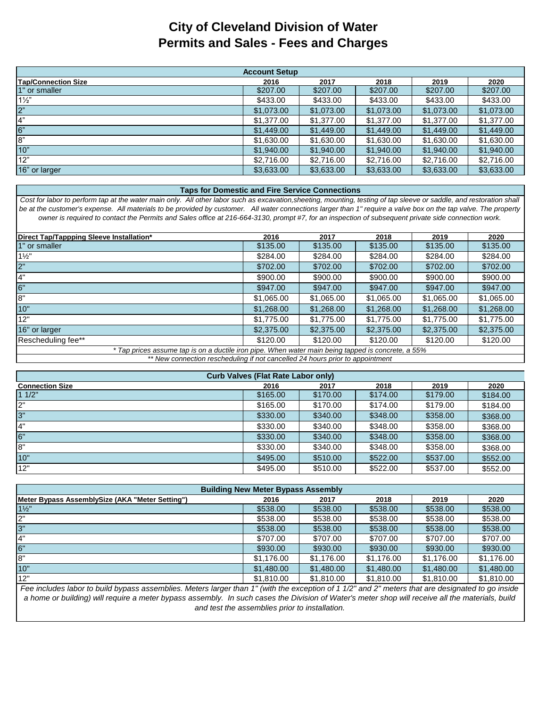## **City of Cleveland Division of Water Permits and Sales - Fees and Charges**

| <b>Account Setup</b>       |            |            |            |            |            |  |  |  |
|----------------------------|------------|------------|------------|------------|------------|--|--|--|
| <b>Tap/Connection Size</b> | 2016       | 2017       | 2018       | 2019       | 2020       |  |  |  |
| 1" or smaller              | \$207.00   | \$207.00   | \$207.00   | \$207.00   | \$207.00   |  |  |  |
| $1\frac{1}{2}$             | \$433.00   | \$433.00   | \$433.00   | \$433.00   | \$433.00   |  |  |  |
| 2 <sup>n</sup>             | \$1,073.00 | \$1,073.00 | \$1,073.00 | \$1,073.00 | \$1,073.00 |  |  |  |
| 4"                         | \$1,377.00 | \$1,377,00 | \$1,377.00 | \$1.377.00 | \$1,377,00 |  |  |  |
| 6"                         | \$1,449.00 | \$1,449.00 | \$1,449.00 | \$1,449.00 | \$1,449.00 |  |  |  |
| 8"                         | \$1,630.00 | \$1,630.00 | \$1,630.00 | \$1,630.00 | \$1,630.00 |  |  |  |
| 10"                        | \$1,940,00 | \$1,940.00 | \$1,940.00 | \$1,940,00 | \$1,940.00 |  |  |  |
| 12"                        | \$2,716.00 | \$2,716.00 | \$2,716.00 | \$2,716.00 | \$2,716.00 |  |  |  |
| 16" or larger              | \$3,633,00 | \$3,633.00 | \$3,633.00 | \$3,633.00 | \$3,633.00 |  |  |  |

## **Taps for Domestic and Fire Service Connections**

*Cost for labor to perform tap at the water main only. All other labor such as excavation,sheeting, mounting, testing of tap sleeve or saddle, and restoration shall be at the customer's expense. All materials to be provided by customer. All water connections larger than 1" require a valve box on the tap valve. The property owner is required to contact the Permits and Sales office at 216-664-3130, prompt #7, for an inspection of subsequent private side connection work.*

| Direct Tap/Tappping Sleeve Installation* | 2016       | 2017       | 2018       | 2019       | 2020       |
|------------------------------------------|------------|------------|------------|------------|------------|
| 1" or smaller                            | \$135.00   | \$135.00   | \$135.00   | \$135.00   | \$135.00   |
| $1\frac{1}{2}$                           | \$284.00   | \$284.00   | \$284.00   | \$284.00   | \$284.00   |
| 2"                                       | \$702.00   | \$702.00   | \$702.00   | \$702.00   | \$702.00   |
| $\overline{4}$ "                         | \$900.00   | \$900.00   | \$900.00   | \$900.00   | \$900.00   |
| 6"                                       | \$947.00   | \$947.00   | \$947.00   | \$947.00   | \$947.00   |
| 8"                                       | \$1,065.00 | \$1,065.00 | \$1,065.00 | \$1,065.00 | \$1,065.00 |
| 10"                                      | \$1,268.00 | \$1,268.00 | \$1,268.00 | \$1,268.00 | \$1,268.00 |
| 12"                                      | \$1,775.00 | \$1,775.00 | \$1,775.00 | \$1,775.00 | \$1,775.00 |
| 16" or larger                            | \$2,375.00 | \$2,375.00 | \$2,375.00 | \$2,375.00 | \$2,375.00 |
| Rescheduling fee**                       | \$120.00   | \$120.00   | \$120.00   | \$120.00   | \$120.00   |
|                                          |            |            |            |            |            |

*\*\* New connection rescheduling if not cancelled 24 hours prior to appointment \* Tap prices assume tap is on a ductile iron pipe. When water main being tapped is concrete, a 55%*

| <b>Curb Valves (Flat Rate Labor only)</b> |          |          |          |          |          |  |  |  |  |
|-------------------------------------------|----------|----------|----------|----------|----------|--|--|--|--|
| <b>Connection Size</b>                    | 2016     | 2017     | 2018     | 2019     | 2020     |  |  |  |  |
| 11/2"                                     | \$165.00 | \$170.00 | \$174.00 | \$179.00 | \$184.00 |  |  |  |  |
| ייפ                                       | \$165.00 | \$170.00 | \$174.00 | \$179.00 | \$184.00 |  |  |  |  |
| 3"                                        | \$330.00 | \$340.00 | \$348.00 | \$358.00 | \$368.00 |  |  |  |  |
| 4"                                        | \$330.00 | \$340.00 | \$348.00 | \$358.00 | \$368.00 |  |  |  |  |
| 6"                                        | \$330.00 | \$340.00 | \$348.00 | \$358,00 | \$368.00 |  |  |  |  |
| 8"                                        | \$330.00 | \$340.00 | \$348.00 | \$358.00 | \$368.00 |  |  |  |  |
| 10"                                       | \$495.00 | \$510.00 | \$522.00 | \$537.00 | \$552.00 |  |  |  |  |
| 12"                                       | \$495.00 | \$510.00 | \$522.00 | \$537.00 | \$552.00 |  |  |  |  |

| <b>Building New Meter Bypass Assembly</b>       |            |            |            |            |            |  |  |  |
|-------------------------------------------------|------------|------------|------------|------------|------------|--|--|--|
| Meter Bypass AssemblySize (AKA "Meter Setting") | 2016       | 2017       | 2018       | 2019       | 2020       |  |  |  |
| $1\frac{1}{2}$                                  | \$538.00   | \$538.00   | \$538.00   | \$538.00   | \$538.00   |  |  |  |
| 2"                                              | \$538.00   | \$538.00   | \$538.00   | \$538.00   | \$538.00   |  |  |  |
| ပ်                                              | \$538.00   | \$538.00   | \$538.00   | \$538.00   | \$538.00   |  |  |  |
| 4"                                              | \$707.00   | \$707.00   | \$707.00   | \$707.00   | \$707.00   |  |  |  |
| 6"                                              | \$930.00   | \$930.00   | \$930.00   | \$930.00   | \$930.00   |  |  |  |
| 8"                                              | \$1.176.00 | \$1.176.00 | \$1,176.00 | \$1.176.00 | \$1,176.00 |  |  |  |
| 10"                                             | \$1,480,00 | \$1,480,00 | \$1,480.00 | \$1,480.00 | \$1,480,00 |  |  |  |
| 12"                                             | \$1,810.00 | \$1,810,00 | \$1,810.00 | \$1,810.00 | \$1,810.00 |  |  |  |

*Fee includes labor to build bypass assemblies. Meters larger than 1" (with the exception of 1 1/2" and 2" meters that are designated to go inside a home or building) will require a meter bypass assembly. In such cases the Division of Water's meter shop will receive all the materials, build and test the assemblies prior to installation.*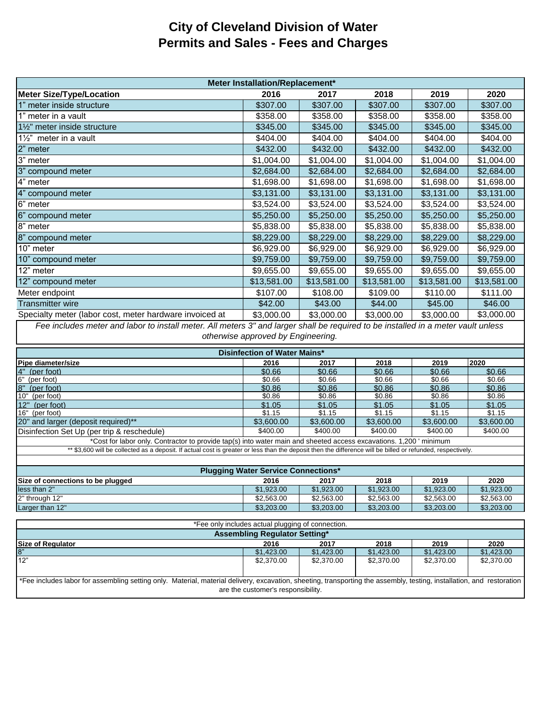## **City of Cleveland Division of Water Permits and Sales - Fees and Charges**

| Meter Installation/Replacement*                                                                                                   |             |             |             |             |             |  |  |  |
|-----------------------------------------------------------------------------------------------------------------------------------|-------------|-------------|-------------|-------------|-------------|--|--|--|
| <b>Meter Size/Type/Location</b>                                                                                                   | 2016        | 2017        | 2018        | 2019        | 2020        |  |  |  |
| 1" meter inside structure                                                                                                         | \$307.00    | \$307.00    | \$307.00    | \$307.00    | \$307.00    |  |  |  |
| 1" meter in a vault                                                                                                               | \$358.00    | \$358.00    | \$358.00    | \$358.00    | \$358.00    |  |  |  |
| 1½" meter inside structure                                                                                                        | \$345.00    | \$345.00    | \$345.00    | \$345.00    | \$345.00    |  |  |  |
| 1 $\frac{1}{2}$ " meter in a vault                                                                                                | \$404.00    | \$404.00    | \$404.00    | \$404.00    | \$404.00    |  |  |  |
| 2" meter                                                                                                                          | \$432.00    | \$432.00    | \$432.00    | \$432.00    | \$432.00    |  |  |  |
| 3" meter                                                                                                                          | \$1,004.00  | \$1,004.00  | \$1,004.00  | \$1,004.00  | \$1,004.00  |  |  |  |
| 3" compound meter                                                                                                                 | \$2,684.00  | \$2,684.00  | \$2,684.00  | \$2,684.00  | \$2,684.00  |  |  |  |
| 4" meter                                                                                                                          | \$1,698.00  | \$1,698.00  | \$1,698.00  | \$1,698.00  | \$1,698.00  |  |  |  |
| 4" compound meter                                                                                                                 | \$3,131.00  | \$3,131.00  | \$3,131.00  | \$3,131.00  | \$3,131.00  |  |  |  |
| 6" meter                                                                                                                          | \$3,524.00  | \$3,524.00  | \$3,524.00  | \$3,524.00  | \$3,524.00  |  |  |  |
| 6" compound meter                                                                                                                 | \$5,250.00  | \$5,250.00  | \$5,250.00  | \$5,250.00  | \$5,250.00  |  |  |  |
| 8" meter                                                                                                                          | \$5,838.00  | \$5,838.00  | \$5,838.00  | \$5,838.00  | \$5,838.00  |  |  |  |
| 8" compound meter                                                                                                                 | \$8,229.00  | \$8,229.00  | \$8,229.00  | \$8,229.00  | \$8,229.00  |  |  |  |
| 10" meter                                                                                                                         | \$6,929.00  | \$6,929.00  | \$6,929.00  | \$6,929.00  | \$6,929.00  |  |  |  |
| 10" compound meter                                                                                                                | \$9,759.00  | \$9,759.00  | \$9,759.00  | \$9,759.00  | \$9,759.00  |  |  |  |
| 12" meter                                                                                                                         | \$9,655.00  | \$9,655.00  | \$9,655.00  | \$9,655.00  | \$9,655.00  |  |  |  |
| 12" compound meter                                                                                                                | \$13,581.00 | \$13,581.00 | \$13,581.00 | \$13,581.00 | \$13,581.00 |  |  |  |
| Meter endpoint                                                                                                                    | \$107.00    | \$108.00    | \$109.00    | \$110.00    | \$111.00    |  |  |  |
| <b>Transmitter wire</b>                                                                                                           | \$42.00     | \$43.00     | \$44.00     | \$45.00     | \$46.00     |  |  |  |
| Specialty meter (labor cost, meter hardware invoiced at                                                                           | \$3,000.00  | \$3,000.00  | \$3,000.00  | \$3,000.00  | \$3,000.00  |  |  |  |
| Fee includes meter and labor to install meter. All meters 3" and larger shall be required to be installed in a meter vault unless |             |             |             |             |             |  |  |  |

*Fee includes meter and labor to install meter. All meters 3" and larger shall be required to be installed in a meter vault unless otherwise approved by Engineering.*

| Disinfection of Water Mains*                                                                                     |            |            |            |            |            |  |  |  |
|------------------------------------------------------------------------------------------------------------------|------------|------------|------------|------------|------------|--|--|--|
| <b>Pipe diameter/size</b>                                                                                        | 2016       | 2017       | 2018       | 2019       | 2020       |  |  |  |
| 4" (per foot)                                                                                                    | \$0.66     | \$0.66     | \$0.66     | \$0.66     | \$0.66     |  |  |  |
| 6" (per foot)                                                                                                    | \$0.66     | \$0.66     | \$0.66     | \$0.66     | \$0.66     |  |  |  |
| 8" (per foot)                                                                                                    | \$0.86     | \$0.86     | \$0.86     | \$0.86     | \$0.86     |  |  |  |
| 10" (per foot)                                                                                                   | \$0.86     | \$0.86     | \$0.86     | \$0.86     | \$0.86     |  |  |  |
| 12" (per foot)                                                                                                   | \$1.05     | \$1.05     | \$1.05     | \$1.05     | \$1.05     |  |  |  |
| 16" (per foot)                                                                                                   | \$1.15     | \$1.15     | \$1.15     | \$1.15     | \$1.15     |  |  |  |
| 20" and larger (deposit required)**                                                                              | \$3,600.00 | \$3,600,00 | \$3,600,00 | \$3,600,00 | \$3,600.00 |  |  |  |
| Disinfection Set Up (per trip & reschedule)                                                                      | \$400.00   | \$400.00   | \$400.00   | \$400.00   | \$400.00   |  |  |  |
| *Osat facilitas antic Osatus stanta musicle tam/a) into contample and absorbed access accordings of OOO included |            |            |            |            |            |  |  |  |

Cost for labor only. Contractor to provide tap(s) into water main and sheeted access excavations. 1,200 ' minimum \*\* \$3,600 will be collected as a deposit. If actual cost is greater or less than the deposit then the difference will be billed or refunded, respectively.

| <b>Plugging Water Service Connections*</b> |            |            |            |            |            |  |  |  |
|--------------------------------------------|------------|------------|------------|------------|------------|--|--|--|
| Size of connections to be plugged          | 2016       | 2017       | 2018       | 2019       | 2020       |  |  |  |
| less than 2"                               | \$1.923.00 | \$1.923.00 | \$1.923.00 | \$1.923.00 | \$1,923.00 |  |  |  |
| 2" through 12"                             | \$2,563,00 | \$2,563,00 | \$2,563.00 | \$2,563,00 | \$2,563.00 |  |  |  |
| Larger than 12"                            | \$3,203,00 | \$3,203,00 | \$3,203,00 | \$3,203,00 | \$3,203.00 |  |  |  |

| *Fee only includes actual plugging of connection.                                                                                                                     |                                      |            |            |            |            |  |  |  |
|-----------------------------------------------------------------------------------------------------------------------------------------------------------------------|--------------------------------------|------------|------------|------------|------------|--|--|--|
| Assembling Regulator Setting*                                                                                                                                         |                                      |            |            |            |            |  |  |  |
| <b>Size of Regulator</b>                                                                                                                                              | 2019<br>2020<br>2016<br>2018<br>2017 |            |            |            |            |  |  |  |
| 8"                                                                                                                                                                    | \$1,423.00                           | \$1,423,00 | \$1,423,00 | \$1.423.00 | \$1,423.00 |  |  |  |
| 12"                                                                                                                                                                   | \$2,370.00                           | \$2,370.00 | \$2,370,00 | \$2,370.00 | \$2,370.00 |  |  |  |
|                                                                                                                                                                       |                                      |            |            |            |            |  |  |  |
| *Fee includes labor for assembling setting only. Material, material delivery, excavation, sheeting, transporting the assembly, testing, installation, and restoration |                                      |            |            |            |            |  |  |  |
|                                                                                                                                                                       | are the customer's responsibility.   |            |            |            |            |  |  |  |